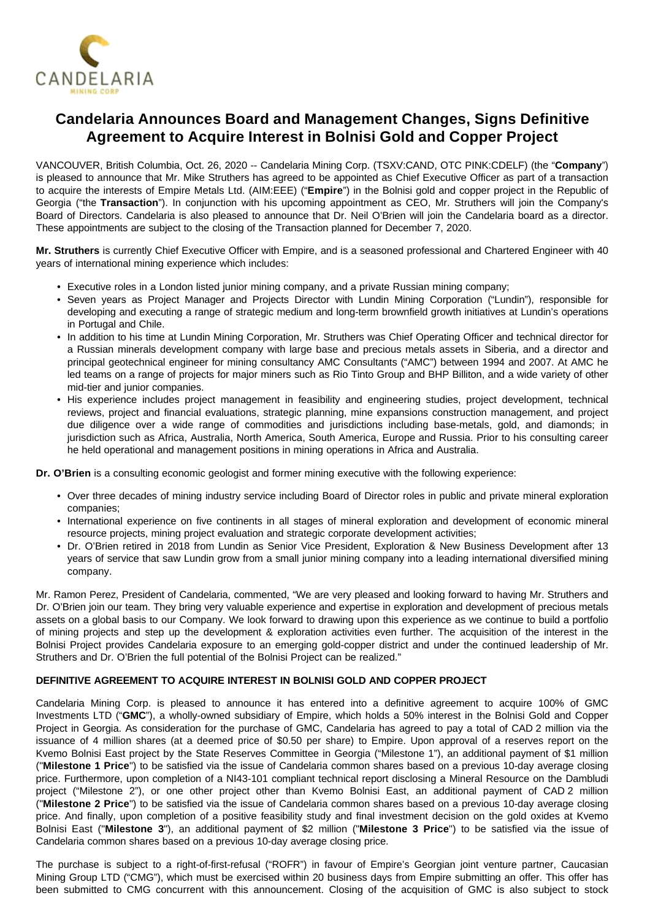

# **Candelaria Announces Board and Management Changes, Signs Definitive Agreement to Acquire Interest in Bolnisi Gold and Copper Project**

VANCOUVER, British Columbia, Oct. 26, 2020 -- Candelaria Mining Corp. (TSXV:CAND, OTC PINK:CDELF) (the "**Company**") is pleased to announce that Mr. Mike Struthers has agreed to be appointed as Chief Executive Officer as part of a transaction to acquire the interests of Empire Metals Ltd. (AIM:EEE) ("**Empire**") in the Bolnisi gold and copper project in the Republic of Georgia ("the **Transaction**"). In conjunction with his upcoming appointment as CEO, Mr. Struthers will join the Company's Board of Directors. Candelaria is also pleased to announce that Dr. Neil O'Brien will join the Candelaria board as a director. These appointments are subject to the closing of the Transaction planned for December 7, 2020.

**Mr. Struthers** is currently Chief Executive Officer with Empire, and is a seasoned professional and Chartered Engineer with 40 years of international mining experience which includes:

- Executive roles in a London listed junior mining company, and a private Russian mining company;
- Seven years as Project Manager and Projects Director with Lundin Mining Corporation ("Lundin"), responsible for developing and executing a range of strategic medium and long-term brownfield growth initiatives at Lundin's operations in Portugal and Chile.
- In addition to his time at Lundin Mining Corporation, Mr. Struthers was Chief Operating Officer and technical director for a Russian minerals development company with large base and precious metals assets in Siberia, and a director and principal geotechnical engineer for mining consultancy AMC Consultants ("AMC") between 1994 and 2007. At AMC he led teams on a range of projects for major miners such as Rio Tinto Group and BHP Billiton, and a wide variety of other mid-tier and junior companies.
- His experience includes project management in feasibility and engineering studies, project development, technical reviews, project and financial evaluations, strategic planning, mine expansions construction management, and project due diligence over a wide range of commodities and jurisdictions including base-metals, gold, and diamonds; in jurisdiction such as Africa, Australia, North America, South America, Europe and Russia. Prior to his consulting career he held operational and management positions in mining operations in Africa and Australia.

**Dr. O'Brien** is a consulting economic geologist and former mining executive with the following experience:

- Over three decades of mining industry service including Board of Director roles in public and private mineral exploration companies;
- International experience on five continents in all stages of mineral exploration and development of economic mineral resource projects, mining project evaluation and strategic corporate development activities;
- Dr. O'Brien retired in 2018 from Lundin as Senior Vice President, Exploration & New Business Development after 13 years of service that saw Lundin grow from a small junior mining company into a leading international diversified mining company.

Mr. Ramon Perez, President of Candelaria, commented, "We are very pleased and looking forward to having Mr. Struthers and Dr. O'Brien join our team. They bring very valuable experience and expertise in exploration and development of precious metals assets on a global basis to our Company. We look forward to drawing upon this experience as we continue to build a portfolio of mining projects and step up the development & exploration activities even further. The acquisition of the interest in the Bolnisi Project provides Candelaria exposure to an emerging gold-copper district and under the continued leadership of Mr. Struthers and Dr. O'Brien the full potential of the Bolnisi Project can be realized."

## **DEFINITIVE AGREEMENT TO ACQUIRE INTEREST IN BOLNISI GOLD AND COPPER PROJECT**

Candelaria Mining Corp. is pleased to announce it has entered into a definitive agreement to acquire 100% of GMC Investments LTD ("**GMC**"), a wholly-owned subsidiary of Empire, which holds a 50% interest in the Bolnisi Gold and Copper Project in Georgia. As consideration for the purchase of GMC, Candelaria has agreed to pay a total of CAD 2 million via the issuance of 4 million shares (at a deemed price of \$0.50 per share) to Empire. Upon approval of a reserves report on the Kvemo Bolnisi East project by the State Reserves Committee in Georgia ("Milestone 1"), an additional payment of \$1 million ("**Milestone 1 Price**") to be satisfied via the issue of Candelaria common shares based on a previous 10-day average closing price. Furthermore, upon completion of a NI43-101 compliant technical report disclosing a Mineral Resource on the Dambludi project ("Milestone 2"), or one other project other than Kvemo Bolnisi East, an additional payment of CAD 2 million ("**Milestone 2 Price**") to be satisfied via the issue of Candelaria common shares based on a previous 10-day average closing price. And finally, upon completion of a positive feasibility study and final investment decision on the gold oxides at Kvemo Bolnisi East ("**Milestone 3**"), an additional payment of \$2 million ("**Milestone 3 Price**") to be satisfied via the issue of Candelaria common shares based on a previous 10-day average closing price.

The purchase is subject to a right-of-first-refusal ("ROFR") in favour of Empire's Georgian joint venture partner, Caucasian Mining Group LTD ("CMG"), which must be exercised within 20 business days from Empire submitting an offer. This offer has been submitted to CMG concurrent with this announcement. Closing of the acquisition of GMC is also subject to stock